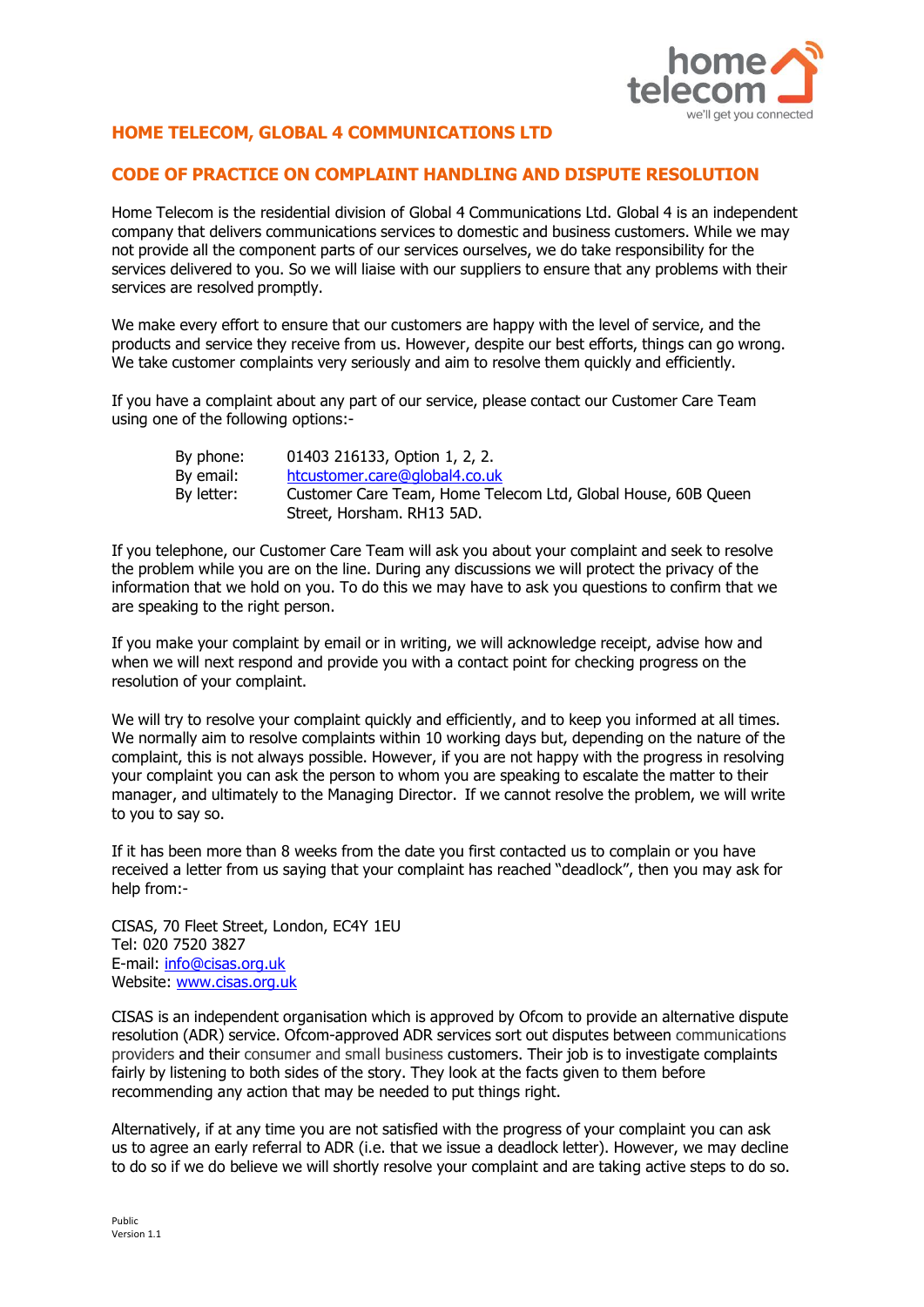

## **HOME TELECOM, GLOBAL 4 COMMUNICATIONS LTD**

## **CODE OF PRACTICE ON COMPLAINT HANDLING AND DISPUTE RESOLUTION**

Home Telecom is the residential division of Global 4 Communications Ltd. Global 4 is an independent company that delivers communications services to domestic and business customers. While we may not provide all the component parts of our services ourselves, we do take responsibility for the services delivered to you. So we will liaise with our suppliers to ensure that any problems with their services are resolved promptly.

We make every effort to ensure that our customers are happy with the level of service, and the products and service they receive from us. However, despite our best efforts, things can go wrong. We take customer complaints very seriously and aim to resolve them quickly and efficiently.

If you have a complaint about any part of our service, please contact our Customer Care Team using one of the following options:-

| By phone:  | 01403 216133, Option 1, 2, 2.                                                               |
|------------|---------------------------------------------------------------------------------------------|
| By email:  | htcustomer.care@global4.co.uk                                                               |
| By letter: | Customer Care Team, Home Telecom Ltd, Global House, 60B Queen<br>Street, Horsham. RH13 5AD. |

If you telephone, our Customer Care Team will ask you about your complaint and seek to resolve the problem while you are on the line. During any discussions we will protect the privacy of the information that we hold on you. To do this we may have to ask you questions to confirm that we are speaking to the right person.

If you make your complaint by email or in writing, we will acknowledge receipt, advise how and when we will next respond and provide you with a contact point for checking progress on the resolution of your complaint.

We will try to resolve your complaint quickly and efficiently, and to keep you informed at all times. We normally aim to resolve complaints within 10 working days but, depending on the nature of the complaint, this is not always possible. However, if you are not happy with the progress in resolving your complaint you can ask the person to whom you are speaking to escalate the matter to their manager, and ultimately to the Managing Director. If we cannot resolve the problem, we will write to you to say so.

If it has been more than 8 weeks from the date you first contacted us to complain or you have received a letter from us saying that your complaint has reached "deadlock", then you may ask for help from:-

CISAS, 70 Fleet Street, London, EC4Y 1EU Tel: 020 7520 3827 E-mail: [info@cisas.org.uk](mailto:info@cisas.org.uk) Website: [www.cisas.org.uk](http://www.cisas.org.uk/)

CISAS is an independent organisation which is approved by Ofcom to provide an alternative dispute resolution (ADR) service. Ofcom-approved ADR services sort out disputes between communications providers and their consumer and small business customers. Their job is to investigate complaints fairly by listening to both sides of the story. They look at the facts given to them before recommending any action that may be needed to put things right.

Alternatively, if at any time you are not satisfied with the progress of your complaint you can ask us to agree an early referral to ADR (i.e. that we issue a deadlock letter). However, we may decline to do so if we do believe we will shortly resolve your complaint and are taking active steps to do so.